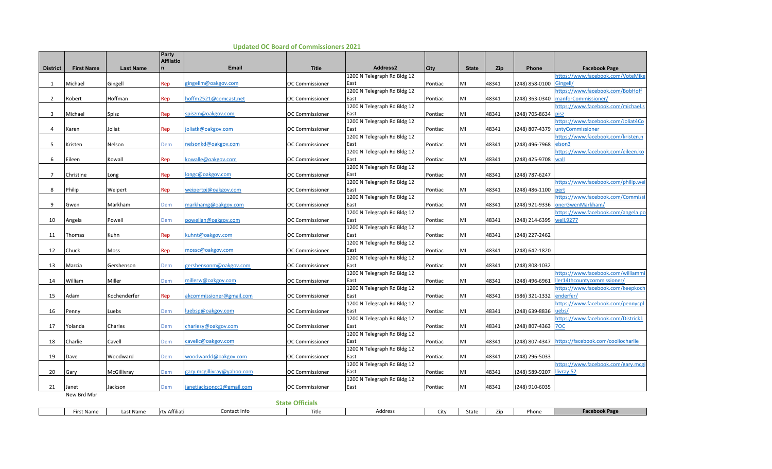|                 | <b>First Name</b> | <b>Last Name</b> | Party<br><b>Affliatio</b> | <b>Email</b>               | <b>Title</b>           | Address2                            |             | <b>State</b> | Zip   | Phone          | <b>Facebook Page</b>                                    |
|-----------------|-------------------|------------------|---------------------------|----------------------------|------------------------|-------------------------------------|-------------|--------------|-------|----------------|---------------------------------------------------------|
| <b>District</b> |                   |                  |                           |                            |                        | 1200 N Telegraph Rd Bldg 12         | <b>City</b> |              |       |                | nttps://www.facebook.com/VoteMike                       |
| 1               | Michael           | Gingell          | Rep                       | gingellm@oakgov.com        | OC Commissioner        | East                                | Pontiac     | MI           | 48341 | (248) 858-0100 | Gingell/                                                |
|                 |                   |                  |                           |                            |                        | 1200 N Telegraph Rd Bldg 12         |             |              |       |                | nttps://www.facebook.com/BobHoff                        |
| 2               | Robert            | Hoffman          | Rep                       | hoffm2521@comcast.net      | <b>OC Commissioner</b> | East                                | Pontiac     | MI           | 48341 | (248) 363-0340 | manforCommissioner/                                     |
|                 |                   |                  |                           |                            |                        | 1200 N Telegraph Rd Bldg 12         |             |              |       |                | nttps://www.facebook.com/michael.s                      |
| 3               | Michael           | Spisz            | Rep                       | spiszm@oakgov.com          | <b>OC Commissioner</b> | East                                | Pontiac     | MI           | 48341 | (248) 705-8634 | pisz                                                    |
|                 |                   |                  |                           |                            |                        | 1200 N Telegraph Rd Bldg 12         |             |              |       |                | nttps://www.facebook.com/Joliat4Co                      |
| 4               | Karen             | Joliat           | Rep                       | oliatk@oakgov.com          | <b>OC Commissioner</b> | East                                | Pontiac     | MI           | 48341 | (248) 807-4379 | untyCommissioner                                        |
|                 |                   |                  |                           |                            |                        | 1200 N Telegraph Rd Bldg 12         |             |              |       |                | nttps://www.facebook.com/kristen.n                      |
| -5              | Kristen           | Nelson           | Dem                       | nelsonkd@oakgov.com        | OC Commissioner        | East                                | Pontiac     | MI           | 48341 | (248) 496-7968 | elson3                                                  |
|                 |                   |                  |                           |                            |                        | 1200 N Telegraph Rd Bldg 12         |             |              |       |                | nttps://www.facebook.com/eileen.ko                      |
| 6               | Eileen            | Kowall           | Rep                       | cowalle@oakgov.com         | OC Commissioner        | East                                | Pontiac     | MI           | 48341 | (248) 425-9708 | wall                                                    |
|                 |                   |                  |                           |                            |                        | 1200 N Telegraph Rd Bldg 12         |             |              |       |                |                                                         |
| $\overline{7}$  | Christine         | Long             | Rep                       | ongc@oakgov.com            | OC Commissioner        | East<br>1200 N Telegraph Rd Bldg 12 | Pontiac     | MI           | 48341 | (248) 787-6247 | https://www.facebook.com/philip.wei                     |
| 8               | Philip            | Weipert          | Rep                       | weipertpj@oakgov.com       | OC Commissioner        | East                                | Pontiac     | MI           | 48341 | (248) 486-1100 | pert                                                    |
|                 |                   |                  |                           |                            |                        | 1200 N Telegraph Rd Bldg 12         |             |              |       |                | nttps://www.facebook.com/Commissi                       |
| 9               | Gwen              | Markham          | Dem                       | markhamg@oakgov.com        | <b>OC Commissioner</b> | East                                | Pontiac     | MI           | 48341 | (248) 921-9336 | onerGwenMarkham/                                        |
|                 |                   |                  |                           |                            |                        | 1200 N Telegraph Rd Bldg 12         |             |              |       |                | https://www.facebook.com/angela.po                      |
| 10              | Angela            | Powell           | Dem                       | powellan@oakgov.com        | <b>OC Commissioner</b> | East                                | Pontiac     | MI           | 48341 | (248) 214-6395 | well.9277                                               |
|                 |                   |                  |                           |                            |                        | 1200 N Telegraph Rd Bldg 12         |             |              |       |                |                                                         |
| 11              | Thomas            | Kuhn             | Rep                       | kuhnt@oakgov.com           | <b>OC Commissioner</b> | East                                | Pontiac     | MI           | 48341 | (248) 227-2462 |                                                         |
|                 |                   |                  |                           |                            |                        | 1200 N Telegraph Rd Bldg 12         |             |              |       |                |                                                         |
| 12              | Chuck             | Moss             | Rep                       | mossc@oakgov.com           | <b>OC Commissioner</b> | East                                | Pontiac     | MI           | 48341 | (248) 642-1820 |                                                         |
|                 |                   |                  |                           |                            |                        | 1200 N Telegraph Rd Bldg 12         |             |              |       |                |                                                         |
| 13              | Marcia            | Gershenson       | Dem                       | gershensonm@oakgov.com     | <b>OC Commissioner</b> | East                                | Pontiac     | MI           | 48341 | (248) 808-1032 |                                                         |
|                 |                   |                  |                           |                            |                        | 1200 N Telegraph Rd Bldg 12         |             |              |       |                | nttps://www.facebook.com/williammi                      |
| 14              | William           | Miller           | Dem                       | millerw@oakgov.com         | <b>OC Commissioner</b> | East                                | Pontiac     | MI           | 48341 | (248) 496-6961 | ler14thcountycommissioner/                              |
|                 |                   |                  |                           |                            |                        | 1200 N Telegraph Rd Bldg 12         |             |              |       |                | nttps://www.facebook.com/keepkoch                       |
| 15              | Adam              | Kochenderfer     | Rep                       | akcommissioner@gmail.com   | <b>OC Commissioner</b> | East                                | Pontiac     | MI           | 48341 | (586) 321-1332 | enderfer/                                               |
|                 |                   |                  |                           |                            |                        | 1200 N Telegraph Rd Bldg 12         |             |              |       |                | https://www.facebook.com/pennycpl                       |
| 16              | Penny             | Luebs            | Dem                       | uebsp@oakgov.com           | OC Commissioner        | East<br>1200 N Telegraph Rd Bldg 12 | Pontiac     | MI           | 48341 | (248) 639-8836 | uebs <sub>/</sub><br>nttps://www.facebook.com/Districk1 |
| 17              | Yolanda           | Charles          | Dem                       | charlesy@oakgov.com        | <b>OC Commissioner</b> | East                                | Pontiac     | MI           | 48341 | (248) 807-4363 | <b>70C</b>                                              |
|                 |                   |                  |                           |                            |                        | 1200 N Telegraph Rd Bldg 12         |             |              |       |                |                                                         |
| 18              | Charlie           | Cavell           | Dem                       | cavellc@oakgov.com         | <b>OC Commissioner</b> | East                                | Pontiac     | MI           | 48341 | (248) 807-4347 | https://facebook.com/cooliocharlie                      |
|                 |                   |                  |                           |                            |                        | 1200 N Telegraph Rd Bldg 12         |             |              |       |                |                                                         |
| 19              | Dave              | Woodward         | Dem                       | woodwardd@oakgov.com       | <b>OC Commissioner</b> | East                                | Pontiac     | MI           | 48341 | (248) 296-5033 |                                                         |
|                 |                   |                  |                           |                            |                        | 1200 N Telegraph Rd Bldg 12         |             |              |       |                | https://www.facebook.com/gary.mcgi                      |
| 20              | Gary              | McGillivray      | Dem                       | gary.mcgillivray@yahoo.com | <b>OC Commissioner</b> | East                                | Pontiac     | MI           | 48341 | (248) 589-9207 | llivray.52                                              |
|                 |                   |                  |                           |                            |                        | 1200 N Telegraph Rd Bldg 12         |             |              |       |                |                                                         |
| 21              | Janet             | Jackson          | Dem                       | anetjacksoncc1@gmail.com   | <b>OC Commissioner</b> | East                                | Pontiac     | MI           | 48341 | (248) 910-6035 |                                                         |
|                 | New Brd Mbr       |                  |                           |                            |                        |                                     |             |              |       |                |                                                         |
|                 |                   |                  |                           |                            | <b>State Officials</b> |                                     |             |              |       |                |                                                         |

First Name Last Name rty Affiliati Contact Info Title Address City State Zip Phone **Facebook Page**

## **Updated OC Board of Commissioners 2021**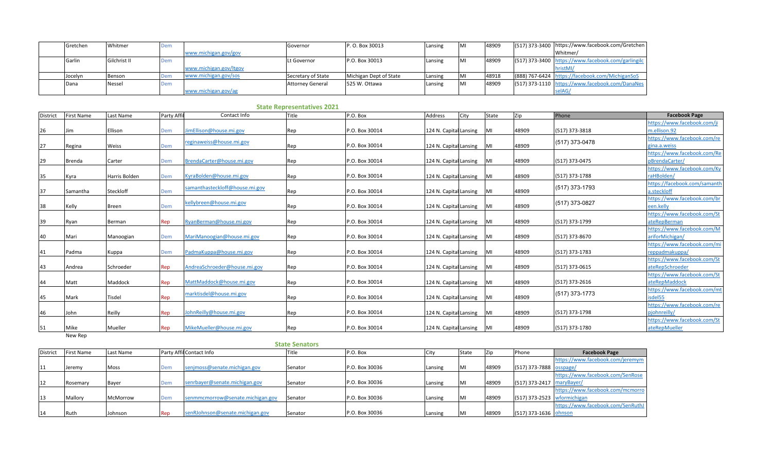| Gretchen | Whitmer      | <b>Dem</b> |                        | Governor                | P. O. Box 30013        | Lansing | MI | 48909 | (517) 373-3400 https://www.facebook.com/Gretchen   |
|----------|--------------|------------|------------------------|-------------------------|------------------------|---------|----|-------|----------------------------------------------------|
|          |              |            | www.michigan.gov/gov   |                         |                        |         |    |       | Whitmer/                                           |
| Garlin   | Gilchrist II | <b>Dem</b> |                        | Lt Governor             | P.O. Box 30013         | Lansing | MI | 48909 | (517) 373-3400 https://www.facebook.com/garlingilc |
|          |              |            | www.michigan.gov/Itgov |                         |                        |         |    |       |                                                    |
| Jocelyn  | Benson       | Dem        | www.michigan.gov/sos   | Secretary of State      | Michigan Dept of State | Lansing | MI | 48918 | (888) 767-6424 https://facebook.com/MichiganSoS    |
| Dana     | Nessel       | Dem        |                        | <b>Attorney General</b> | 525 W. Ottawa          | Lansing | MI | 48909 | (517) 373-1110 https://www.facebook.com/DanaNes    |
|          |              |            | www.michigan.gov/ag    |                         |                        |         |    |       | selAG                                              |

| <b>District</b> | <b>First Name</b> | Last Name     | Party Affi | Contact Info                   | Title | P.O. Box       | <b>Address</b>         | City | State      | Zip   | Phone          | <b>Facebook Page</b>                           |
|-----------------|-------------------|---------------|------------|--------------------------------|-------|----------------|------------------------|------|------------|-------|----------------|------------------------------------------------|
|                 |                   |               |            |                                |       |                |                        |      |            |       |                | https://www.facebook.com/ji                    |
| 26              | lim               | Ellison       | Dem        | imEllison@house.mi.gov         | Rep   | P.O. Box 30014 | 124 N. Capital Lansing |      | <b>IMI</b> | 48909 | (517) 373-3818 | m.ellison.92                                   |
|                 |                   |               |            | reginaweiss@house.mi.gov       |       |                |                        |      |            |       | (517) 373-0478 | https://www.facebook.com/re                    |
| 27              | Regina            | Weiss         | Dem        |                                | Rep   | P.O. Box 30014 | 124 N. Capital Lansing |      | <b>IMI</b> | 48909 |                | gina.a.weiss                                   |
|                 |                   |               |            |                                |       |                |                        |      |            |       |                | https://www.facebook.com/Re                    |
| 29              | <b>Brenda</b>     | Carter        | Dem        | BrendaCarter@house.mi.gov      | Rep   | P.O. Box 30014 | 124 N. Capital Lansing |      | MI         | 48909 | (517) 373-0475 | pBrendaCarter/                                 |
|                 |                   |               |            |                                |       |                |                        |      |            |       |                | https://www.facebook.com/Ky                    |
| 35              | Kyra              | Harris Bolden | Dem        | KyraBolden@house.mi.gov        | Rep   | P.O. Box 30014 | 124 N. Capital Lansing |      | <b>MI</b>  | 48909 | (517) 373-1788 | raHBolden/                                     |
|                 |                   |               |            | samanthasteckloff@house.mi.gov |       |                |                        |      |            |       | (517) 373-1793 | https://facebook.com/samanth                   |
| 37              | Samantha          | Steckloff     | Dem        |                                | Rep   | P.O. Box 30014 | 124 N. Capital Lansing |      | <b>MI</b>  | 48909 |                | a.steckloff                                    |
|                 |                   |               |            | kellybreen@house.mi.gov        |       |                |                        |      |            |       | (517) 373-0827 | https://www.facebook.com/br                    |
| 38              | Kelly             | <b>Breen</b>  | Dem        |                                | Rep   | P.O. Box 30014 | 124 N. Capital Lansing |      | <b>IMI</b> | 48909 |                | een.kellv                                      |
|                 |                   |               |            |                                |       |                |                        |      |            |       |                | https://www.facebook.com/St                    |
| 39              | Ryan              | Berman        | Rep        | RyanBerman@house.mi.gov        | Rep   | P.O. Box 30014 | 124 N. Capital Lansing |      | <b>MI</b>  | 48909 | (517) 373-1799 | ateRepBerman                                   |
|                 |                   |               |            |                                |       |                |                        |      |            |       |                | https://www.facebook.com/M                     |
| 40              | Mari              | Manoogian     | Dem        | MariManoogian@house.mi.gov     | Rep   | P.O. Box 30014 | 124 N. Capital Lansing |      | MI         | 48909 | (517) 373-8670 | ariforMichigan/<br>https://www.facebook.com/mi |
|                 |                   |               |            | PadmaKuppa@house.mi.gov        |       | P.O. Box 30014 |                        |      | <b>MI</b>  | 48909 | (517) 373-1783 | reppadmakuppa/                                 |
| 41              | Padma             | Kuppa         | Dem        |                                | Rep   |                | 124 N. Capital Lansing |      |            |       |                | https://www.facebook.com/St                    |
| 43              | Andrea            | Schroeder     | Rep        | AndreaSchroeder@house.mi.gov   | Rep   | P.O. Box 30014 | 124 N. Capital Lansing |      | <b>MI</b>  | 48909 | (517) 373-0615 | ateRepSchroeder                                |
|                 |                   |               |            |                                |       |                |                        |      |            |       |                | https://www.facebook.com/St                    |
| 44              | Matt              | Maddock       | Rep        | MattMaddock@house.mi.gov       | Rep   | P.O. Box 30014 | 124 N. Capital Lansing |      | MI         | 48909 | (517) 373-2616 | ateRepMaddock                                  |
|                 |                   |               |            |                                |       |                |                        |      |            |       |                | https://www.facebook.com/mt                    |
| 45              | Mark              | Tisdel        | Rep        | marktisdel@house.mi.gov        | Rep   | P.O. Box 30014 | 124 N. Capital Lansing |      | <b>IMI</b> | 48909 | (517) 373-1773 | isdel55                                        |
|                 |                   |               |            |                                |       |                |                        |      |            |       |                | https://www.facebook.com/re                    |
| 46              | John              | Reilly        | Rep        | lohnReilly@house.mi.gov        | Rep   | P.O. Box 30014 | 124 N. Capital Lansing |      | IMI        | 48909 | (517) 373-1798 | piohnreilly/                                   |
|                 |                   |               |            |                                |       |                |                        |      |            |       |                | https://www.facebook.com/St                    |
| 51              | Mike              | Mueller       | Rep        | MikeMueller@house.mi.gov       | Rep   | P.O. Box 30014 | 124 N. Capital Lansing |      | <b>MI</b>  | 48909 | (517) 373-1780 | ateRepMueller                                  |

|          | <b>State Senators</b> |           |     |                                  |         |                |         |            |       |                              |                                   |  |  |  |
|----------|-----------------------|-----------|-----|----------------------------------|---------|----------------|---------|------------|-------|------------------------------|-----------------------------------|--|--|--|
| District | <b>First Name</b>     | Last Name |     | Party Affil Contact Info         | Title   | P.O. Box       | City    | State      | Zir   | Phone                        | <b>Facebook Page</b>              |  |  |  |
|          |                       |           |     |                                  |         |                |         |            |       |                              | https://www.facebook.com/jeremym  |  |  |  |
| 11       | Jeremy                | Moss      | Dem | senjmoss@senate.michigan.gov     | Senator | P.O. Box 30036 | Lansing | MI         | 48909 | (517) 373-7888 osspage/      |                                   |  |  |  |
|          |                       |           |     |                                  |         |                |         |            |       |                              | https://www.facebook.com/SenRose  |  |  |  |
| 12       | Rosemary              | Bayer     | Dem | senrbayer@senate.michigan.gov    | Senator | P.O. Box 30036 | Lansing | MI         | 48909 | (517) 373-2417   mary Bayer/ |                                   |  |  |  |
|          |                       |           |     |                                  |         |                |         |            |       |                              | https://www.facebook.com/mcmorro  |  |  |  |
| 13       | Mallory               | McMorrow  | Dem | senmmcmorrow@senate.michigan.gov | Senator | P.O. Box 30036 | Lansing | <b>IMI</b> | 48909 | (517) 373-2523 wformichigan  |                                   |  |  |  |
|          |                       |           |     |                                  |         |                |         |            |       |                              | https://www.facebook.com/SenRuth. |  |  |  |
| 14       | Ruth                  | Johnson   | Rep | senRJohnson@senate.michigan.gov  | Senator | P.O. Box 30036 | Lansing | MI         | 48909 | (517) 373-1636 ohnson        |                                   |  |  |  |